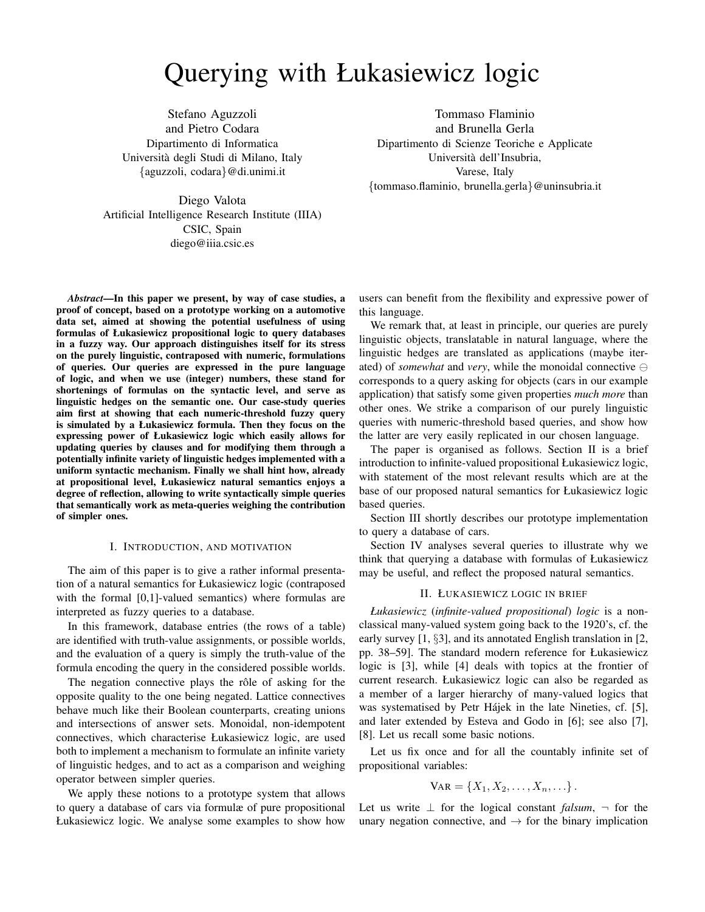# Querying with Łukasiewicz logic

Stefano Aguzzoli and Pietro Codara Dipartimento di Informatica Universita degli Studi di Milano, Italy ` {aguzzoli, codara}@di.unimi.it

Tommaso Flaminio and Brunella Gerla Dipartimento di Scienze Teoriche e Applicate Universita dell'Insubria, ` Varese, Italy {tommaso.flaminio, brunella.gerla}@uninsubria.it

Diego Valota Artificial Intelligence Research Institute (IIIA) CSIC, Spain diego@iiia.csic.es

*Abstract*—In this paper we present, by way of case studies, a proof of concept, based on a prototype working on a automotive data set, aimed at showing the potential usefulness of using formulas of Łukasiewicz propositional logic to query databases in a fuzzy way. Our approach distinguishes itself for its stress on the purely linguistic, contraposed with numeric, formulations of queries. Our queries are expressed in the pure language of logic, and when we use (integer) numbers, these stand for shortenings of formulas on the syntactic level, and serve as linguistic hedges on the semantic one. Our case-study queries aim first at showing that each numeric-threshold fuzzy query is simulated by a Łukasiewicz formula. Then they focus on the expressing power of Łukasiewicz logic which easily allows for updating queries by clauses and for modifying them through a potentially infinite variety of linguistic hedges implemented with a uniform syntactic mechanism. Finally we shall hint how, already at propositional level, Łukasiewicz natural semantics enjoys a degree of reflection, allowing to write syntactically simple queries that semantically work as meta-queries weighing the contribution of simpler ones.

#### I. INTRODUCTION, AND MOTIVATION

The aim of this paper is to give a rather informal presentation of a natural semantics for Łukasiewicz logic (contraposed with the formal [0,1]-valued semantics) where formulas are interpreted as fuzzy queries to a database.

In this framework, database entries (the rows of a table) are identified with truth-value assignments, or possible worlds, and the evaluation of a query is simply the truth-value of the formula encoding the query in the considered possible worlds.

The negation connective plays the rôle of asking for the opposite quality to the one being negated. Lattice connectives behave much like their Boolean counterparts, creating unions and intersections of answer sets. Monoidal, non-idempotent connectives, which characterise Łukasiewicz logic, are used both to implement a mechanism to formulate an infinite variety of linguistic hedges, and to act as a comparison and weighing operator between simpler queries.

We apply these notions to a prototype system that allows to query a database of cars via formulæ of pure propositional Łukasiewicz logic. We analyse some examples to show how users can benefit from the flexibility and expressive power of this language.

We remark that, at least in principle, our queries are purely linguistic objects, translatable in natural language, where the linguistic hedges are translated as applications (maybe iterated) of *somewhat* and *very*, while the monoidal connective  $\ominus$ corresponds to a query asking for objects (cars in our example application) that satisfy some given properties *much more* than other ones. We strike a comparison of our purely linguistic queries with numeric-threshold based queries, and show how the latter are very easily replicated in our chosen language.

The paper is organised as follows. Section II is a brief introduction to infinite-valued propositional Łukasiewicz logic, with statement of the most relevant results which are at the base of our proposed natural semantics for Łukasiewicz logic based queries.

Section III shortly describes our prototype implementation to query a database of cars.

Section IV analyses several queries to illustrate why we think that querying a database with formulas of Łukasiewicz may be useful, and reflect the proposed natural semantics.

### II. ŁUKASIEWICZ LOGIC IN BRIEF

*Łukasiewicz* (*infinite-valued propositional*) *logic* is a nonclassical many-valued system going back to the 1920's, cf. the early survey [1, §3], and its annotated English translation in [2, pp. 38–59]. The standard modern reference for Łukasiewicz logic is [3], while [4] deals with topics at the frontier of current research. Łukasiewicz logic can also be regarded as a member of a larger hierarchy of many-valued logics that was systematised by Petr Hájek in the late Nineties, cf. [5], and later extended by Esteva and Godo in [6]; see also [7], [8]. Let us recall some basic notions.

Let us fix once and for all the countably infinite set of propositional variables:

$$
VAR = \{X_1, X_2, \ldots, X_n, \ldots\}.
$$

Let us write ⊥ for the logical constant *falsum*, ¬ for the unary negation connective, and  $\rightarrow$  for the binary implication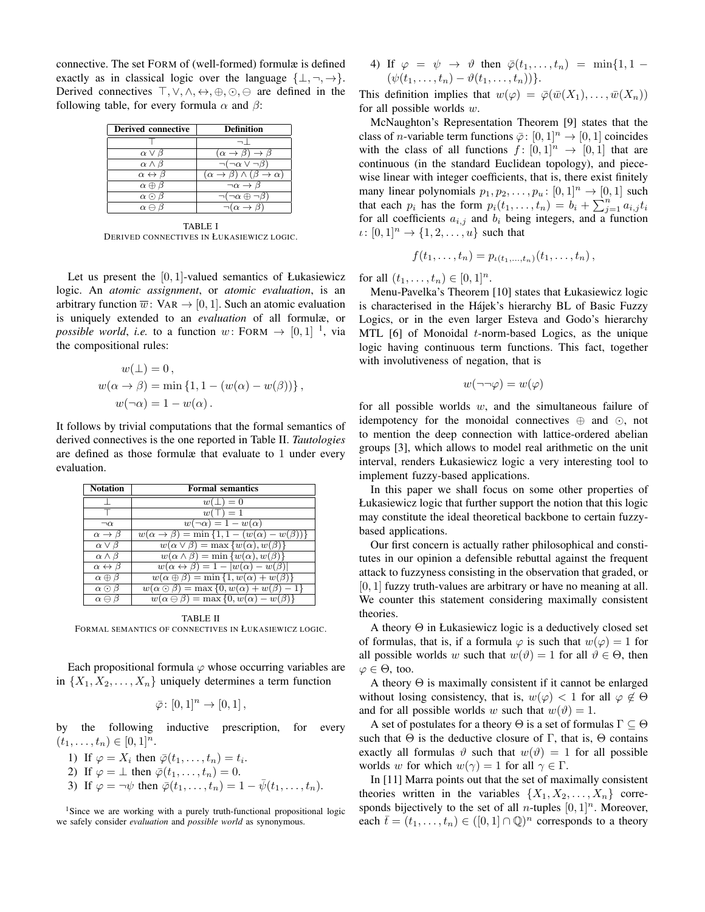connective. The set FORM of (well-formed) formulæ is defined exactly as in classical logic over the language  $\{\perp, \neg, \rightarrow\}.$ Derived connectives  $\top, \vee, \wedge, \leftrightarrow, \oplus, \odot, \ominus$  are defined in the following table, for every formula  $\alpha$  and  $\beta$ :

| Derived connective             | <b>Definition</b>                                              |
|--------------------------------|----------------------------------------------------------------|
|                                |                                                                |
| $\alpha \vee \beta$            | $(\alpha \rightarrow \beta) \rightarrow \beta$                 |
| $\alpha \wedge \beta$          | $\neg(\neg\alpha \vee \neg\beta)$                              |
| $\alpha \leftrightarrow \beta$ | $(\alpha \rightarrow \beta) \wedge (\beta \rightarrow \alpha)$ |
| $\alpha \oplus \beta$          | $\neg \alpha \rightarrow \beta$                                |
| $\alpha \odot \beta$           | $(\neg \alpha \oplus \neg \beta)$                              |
| $\alpha \ominus$               | $(\alpha \rightarrow \beta)$                                   |

TABLE I DERIVED CONNECTIVES IN ŁUKASIEWICZ LOGIC.

Let us present the  $[0, 1]$ -valued semantics of Łukasiewicz logic. An *atomic assignment*, or *atomic evaluation*, is an arbitrary function  $\overline{w}$ : VAR  $\rightarrow$  [0, 1]. Such an atomic evaluation is uniquely extended to an *evaluation* of all formulæ, or *possible world, i.e.* to a function  $w:$  FORM  $\rightarrow$   $[0,1]$  <sup>1</sup>, via the compositional rules:

$$
w(\bot) = 0,
$$
  
\n
$$
w(\alpha \to \beta) = \min \{1, 1 - (w(\alpha) - w(\beta))\},
$$
  
\n
$$
w(\neg \alpha) = 1 - w(\alpha).
$$

It follows by trivial computations that the formal semantics of derived connectives is the one reported in Table II. *Tautologies* are defined as those formulæ that evaluate to 1 under every evaluation.

| <b>Notation</b>                | <b>Formal semantics</b>                                               |
|--------------------------------|-----------------------------------------------------------------------|
|                                | $w(\perp)=0$                                                          |
|                                | $w(\top) = 1$                                                         |
| $\neg \alpha$                  | $\overline{w(\neg \alpha)} = 1 - w(\alpha)$                           |
| $\alpha \rightarrow \beta$     | $w(\alpha \rightarrow \beta) = \min\{1, 1 - (w(\alpha) - w(\beta))\}$ |
| $\alpha \vee \beta$            | $w(\alpha \vee \beta) = \max \{w(\alpha), w(\beta)\}\$                |
| $\alpha \wedge \beta$          | $w(\alpha \wedge \beta) = \min \{w(\alpha), w(\beta)\}\$              |
| $\alpha \leftrightarrow \beta$ | $w(\alpha \leftrightarrow \beta) = 1 -  w(\alpha) - w(\beta) $        |
| $\alpha \oplus \beta$          | $w(\alpha \oplus \beta) = \min\{1, w(\alpha) + w(\beta)\}\$           |
| $\alpha \odot \beta$           | $w(\alpha \odot \beta) = \max\{0, w(\alpha) + w(\beta) - 1\}$         |
| $\alpha \ominus \beta$         | $w(\alpha \ominus \beta) = \max\{0, w(\alpha) - w(\beta)\}\$          |

TABLE II FORMAL SEMANTICS OF CONNECTIVES IN ŁUKASIEWICZ LOGIC.

Each propositional formula  $\varphi$  whose occurring variables are in  $\{X_1, X_2, \ldots, X_n\}$  uniquely determines a term function

$$
\bar{\varphi} \colon [0,1]^n \to [0,1],
$$

by the following inductive prescription, for every  $(t_1, \ldots, t_n) \in [0,1]^n$ .

- 1) If  $\varphi = X_i$  then  $\overline{\varphi}(t_1,\ldots,t_n) = t_i$ .
- 2) If  $\varphi = \bot$  then  $\bar{\varphi}(t_1, \ldots, t_n) = 0$ .
- 3) If  $\varphi = \neg \psi$  then  $\overline{\varphi}(t_1, \ldots, t_n) = 1 \overline{\psi}(t_1, \ldots, t_n)$ .

<sup>1</sup>Since we are working with a purely truth-functional propositional logic we safely consider *evaluation* and *possible world* as synonymous.

4) If  $\varphi = \psi \rightarrow \vartheta$  then  $\overline{\varphi}(t_1, \ldots, t_n) = \min\{1, 1 (\psi(t_1, \ldots, t_n) - \vartheta(t_1, \ldots, t_n))$ .

This definition implies that  $w(\varphi) = \overline{\varphi}(\overline{w}(X_1), \dots, \overline{w}(X_n))$ for all possible worlds  $w$ .

McNaughton's Representation Theorem [9] states that the class of *n*-variable term functions  $\bar{\varphi}$ :  $[0, 1]$ <sup>n</sup>  $\rightarrow$   $[0, 1]$  coincides with the class of all functions  $f : [0,1]^n \rightarrow [0,1]$  that are continuous (in the standard Euclidean topology), and piecewise linear with integer coefficients, that is, there exist finitely many linear polynomials  $p_1, p_2, \ldots, p_u : [0, 1]^n \to [0, 1]$  such that each  $p_i$  has the form  $p_i(t_1, \ldots, t_n) = b_i + \sum_{j=1}^n a_{i,j} t_i$ for all coefficients  $a_{i,j}$  and  $b_i$  being integers, and a function  $\iota: [0,1]^n \to \{1, 2, ..., u\}$  such that

$$
f(t_1,\ldots,t_n) = p_{\iota(t_1,\ldots,t_n)}(t_1,\ldots,t_n) ,
$$

for all  $(t_1, ..., t_n) \in [0, 1]^n$ .

Menu-Pavelka's Theorem [10] states that Łukasiewicz logic is characterised in the Hájek's hierarchy BL of Basic Fuzzy Logics, or in the even larger Esteva and Godo's hierarchy MTL  $[6]$  of Monoidal *t*-norm-based Logics, as the unique logic having continuous term functions. This fact, together with involutiveness of negation, that is

$$
w(\neg\neg\varphi) = w(\varphi)
$$

for all possible worlds  $w$ , and the simultaneous failure of idempotency for the monoidal connectives  $\oplus$  and  $\odot$ , not to mention the deep connection with lattice-ordered abelian groups [3], which allows to model real arithmetic on the unit interval, renders Łukasiewicz logic a very interesting tool to implement fuzzy-based applications.

In this paper we shall focus on some other properties of Łukasiewicz logic that further support the notion that this logic may constitute the ideal theoretical backbone to certain fuzzybased applications.

Our first concern is actually rather philosophical and constitutes in our opinion a defensible rebuttal against the frequent attack to fuzzyness consisting in the observation that graded, or [0, 1] fuzzy truth-values are arbitrary or have no meaning at all. We counter this statement considering maximally consistent theories.

A theory Θ in Łukasiewicz logic is a deductively closed set of formulas, that is, if a formula  $\varphi$  is such that  $w(\varphi) = 1$  for all possible worlds w such that  $w(\vartheta) = 1$  for all  $\vartheta \in \Theta$ , then  $\varphi \in \Theta$ , too.

A theory Θ is maximally consistent if it cannot be enlarged without losing consistency, that is,  $w(\varphi) < 1$  for all  $\varphi \notin \Theta$ and for all possible worlds w such that  $w(\vartheta) = 1$ .

A set of postulates for a theory  $\Theta$  is a set of formulas  $\Gamma \subset \Theta$ such that  $\Theta$  is the deductive closure of  $\Gamma$ , that is,  $\Theta$  contains exactly all formulas  $\vartheta$  such that  $w(\vartheta) = 1$  for all possible worlds w for which  $w(\gamma) = 1$  for all  $\gamma \in \Gamma$ .

In [11] Marra points out that the set of maximally consistent theories written in the variables  $\{X_1, X_2, \ldots, X_n\}$  corresponds bijectively to the set of all *n*-tuples  $[0, 1]^n$ . Moreover, each  $\bar{t} = (t_1, \ldots, t_n) \in ([0, 1] \cap \mathbb{Q})^n$  corresponds to a theory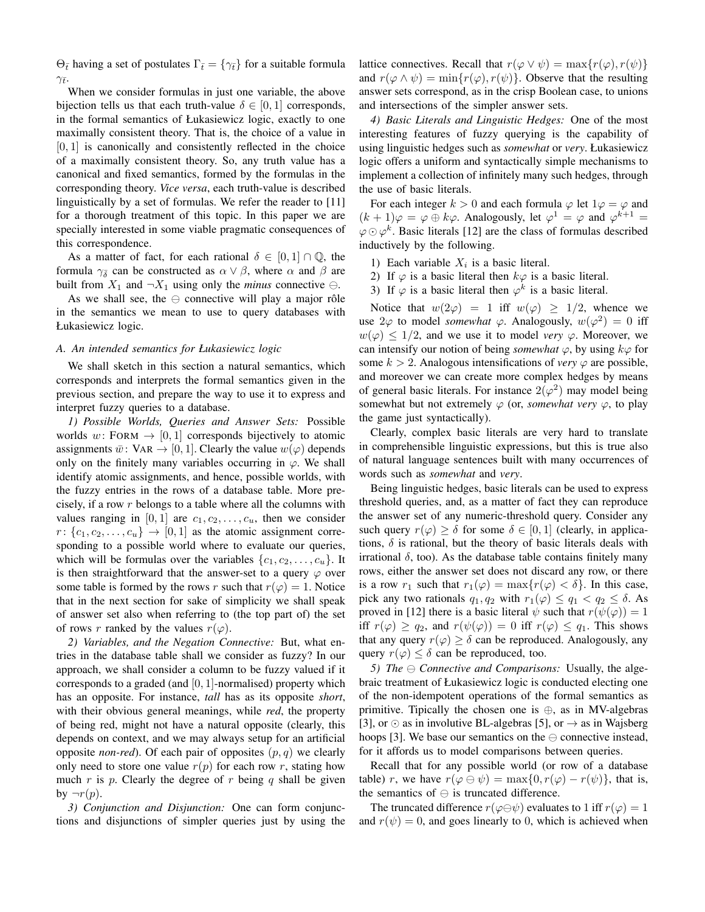$\Theta_{\bar{t}}$  having a set of postulates  $\Gamma_{\bar{t}} = {\gamma_{\bar{t}}}\}$  for a suitable formula  $\gamma_{\bar{t}}$ .

When we consider formulas in just one variable, the above bijection tells us that each truth-value  $\delta \in [0, 1]$  corresponds, in the formal semantics of Łukasiewicz logic, exactly to one maximally consistent theory. That is, the choice of a value in  $[0, 1]$  is canonically and consistently reflected in the choice of a maximally consistent theory. So, any truth value has a canonical and fixed semantics, formed by the formulas in the corresponding theory. *Vice versa*, each truth-value is described linguistically by a set of formulas. We refer the reader to [11] for a thorough treatment of this topic. In this paper we are specially interested in some viable pragmatic consequences of this correspondence.

As a matter of fact, for each rational  $\delta \in [0,1] \cap \mathbb{Q}$ , the formula  $\gamma_{\bar{\delta}}$  can be constructed as  $\alpha \vee \beta$ , where  $\alpha$  and  $\beta$  are built from  $X_1$  and  $\neg X_1$  using only the *minus* connective  $\ominus$ .

As we shall see, the  $\ominus$  connective will play a major rôle in the semantics we mean to use to query databases with Łukasiewicz logic.

## *A. An intended semantics for Łukasiewicz logic*

We shall sketch in this section a natural semantics, which corresponds and interprets the formal semantics given in the previous section, and prepare the way to use it to express and interpret fuzzy queries to a database.

*1) Possible Worlds, Queries and Answer Sets:* Possible worlds  $w:$  FORM  $\rightarrow$  [0, 1] corresponds bijectively to atomic assignments  $\bar{w}$ : VAR  $\rightarrow$  [0, 1]. Clearly the value  $w(\varphi)$  depends only on the finitely many variables occurring in  $\varphi$ . We shall identify atomic assignments, and hence, possible worlds, with the fuzzy entries in the rows of a database table. More precisely, if a row r belongs to a table where all the columns with values ranging in [0, 1] are  $c_1, c_2, \ldots, c_u$ , then we consider  $r: \{c_1, c_2, \ldots, c_u\} \rightarrow [0, 1]$  as the atomic assignment corresponding to a possible world where to evaluate our queries, which will be formulas over the variables  $\{c_1, c_2, \ldots, c_u\}$ . It is then straightforward that the answer-set to a query  $\varphi$  over some table is formed by the rows r such that  $r(\varphi) = 1$ . Notice that in the next section for sake of simplicity we shall speak of answer set also when referring to (the top part of) the set of rows r ranked by the values  $r(\varphi)$ .

*2) Variables, and the Negation Connective:* But, what entries in the database table shall we consider as fuzzy? In our approach, we shall consider a column to be fuzzy valued if it corresponds to a graded (and  $[0, 1]$ -normalised) property which has an opposite. For instance, *tall* has as its opposite *short*, with their obvious general meanings, while *red*, the property of being red, might not have a natural opposite (clearly, this depends on context, and we may always setup for an artificial opposite *non-red*). Of each pair of opposites  $(p, q)$  we clearly only need to store one value  $r(p)$  for each row r, stating how much  $r$  is  $p$ . Clearly the degree of  $r$  being  $q$  shall be given by  $\neg r(p)$ .

*3) Conjunction and Disjunction:* One can form conjunctions and disjunctions of simpler queries just by using the lattice connectives. Recall that  $r(\varphi \lor \psi) = \max\{r(\varphi), r(\psi)\}\$ and  $r(\varphi \wedge \psi) = \min\{r(\varphi), r(\psi)\}\)$ . Observe that the resulting answer sets correspond, as in the crisp Boolean case, to unions and intersections of the simpler answer sets.

*4) Basic Literals and Linguistic Hedges:* One of the most interesting features of fuzzy querying is the capability of using linguistic hedges such as *somewhat* or *very*. Łukasiewicz logic offers a uniform and syntactically simple mechanisms to implement a collection of infinitely many such hedges, through the use of basic literals.

For each integer  $k > 0$  and each formula  $\varphi$  let  $1\varphi = \varphi$  and  $(k+1)\varphi = \varphi \oplus k\varphi$ . Analogously, let  $\varphi^1 = \varphi$  and  $\varphi^{k+1} =$  $\varphi \odot \varphi^k$ . Basic literals [12] are the class of formulas described inductively by the following.

- 1) Each variable  $X_i$  is a basic literal.
- 2) If  $\varphi$  is a basic literal then  $k\varphi$  is a basic literal.
- 3) If  $\varphi$  is a basic literal then  $\varphi^k$  is a basic literal.

Notice that  $w(2\varphi) = 1$  iff  $w(\varphi) \ge 1/2$ , whence we use  $2\varphi$  to model *somewhat*  $\varphi$ . Analogously,  $w(\varphi^2) = 0$  iff  $w(\varphi) \leq 1/2$ , and we use it to model *very*  $\varphi$ . Moreover, we can intensify our notion of being *somewhat*  $\varphi$ , by using  $k\varphi$  for some  $k > 2$ . Analogous intensifications of *very*  $\varphi$  are possible, and moreover we can create more complex hedges by means of general basic literals. For instance  $2(\varphi^2)$  may model being somewhat but not extremely  $\varphi$  (or, *somewhat very*  $\varphi$ , to play the game just syntactically).

Clearly, complex basic literals are very hard to translate in comprehensible linguistic expressions, but this is true also of natural language sentences built with many occurrences of words such as *somewhat* and *very*.

Being linguistic hedges, basic literals can be used to express threshold queries, and, as a matter of fact they can reproduce the answer set of any numeric-threshold query. Consider any such query  $r(\varphi) \geq \delta$  for some  $\delta \in [0,1]$  (clearly, in applications,  $\delta$  is rational, but the theory of basic literals deals with irrational  $\delta$ , too). As the database table contains finitely many rows, either the answer set does not discard any row, or there is a row  $r_1$  such that  $r_1(\varphi) = \max\{r(\varphi) < \delta\}$ . In this case, pick any two rationals  $q_1, q_2$  with  $r_1(\varphi) \leq q_1 < q_2 \leq \delta$ . As proved in [12] there is a basic literal  $\psi$  such that  $r(\psi(\varphi)) = 1$ iff  $r(\varphi) \geq q_2$ , and  $r(\psi(\varphi)) = 0$  iff  $r(\varphi) \leq q_1$ . This shows that any query  $r(\varphi) \geq \delta$  can be reproduced. Analogously, any query  $r(\varphi) \leq \delta$  can be reproduced, too.

*5) The*  $\ominus$  *Connective and Comparisons:* Usually, the algebraic treatment of Łukasiewicz logic is conducted electing one of the non-idempotent operations of the formal semantics as primitive. Tipically the chosen one is  $\oplus$ , as in MV-algebras [3], or  $\odot$  as in involutive BL-algebras [5], or  $\rightarrow$  as in Wajsberg hoops [3]. We base our semantics on the  $\ominus$  connective instead, for it affords us to model comparisons between queries.

Recall that for any possible world (or row of a database table) r, we have  $r(\varphi \ominus \psi) = \max\{0, r(\varphi) - r(\psi)\}\$ , that is, the semantics of  $\ominus$  is truncated difference.

The truncated difference  $r(\varphi \ominus \psi)$  evaluates to 1 iff  $r(\varphi) = 1$ and  $r(\psi) = 0$ , and goes linearly to 0, which is achieved when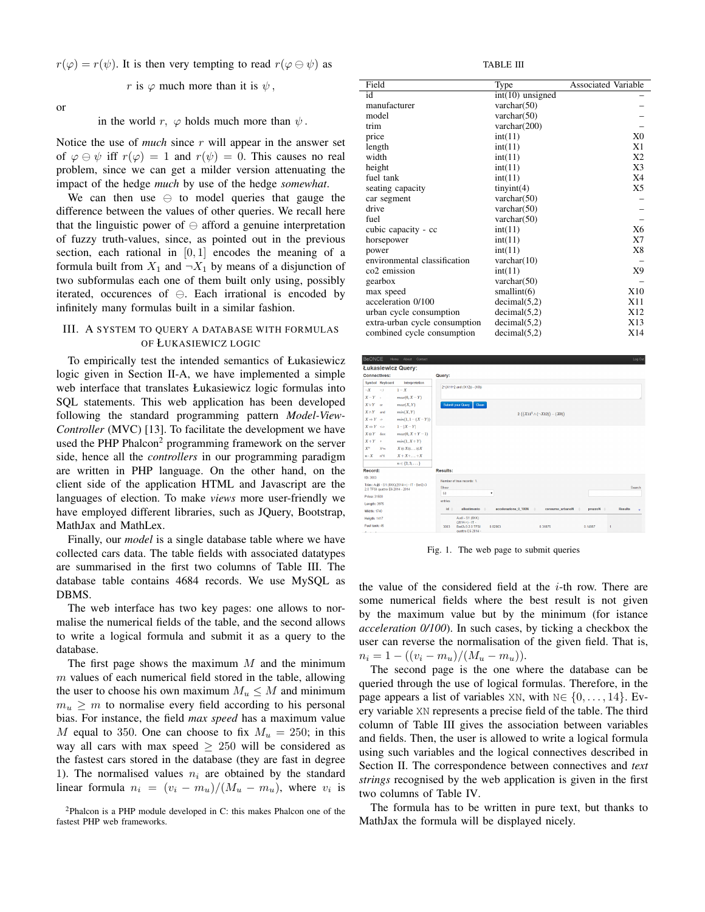$r(\varphi) = r(\psi)$ . It is then very tempting to read  $r(\varphi \ominus \psi)$  as

r is  $\varphi$  much more than it is  $\psi$ ,

or

in the world r,  $\varphi$  holds much more than  $\psi$ .

Notice the use of *much* since r will appear in the answer set of  $\varphi \ominus \psi$  iff  $r(\varphi) = 1$  and  $r(\psi) = 0$ . This causes no real problem, since we can get a milder version attenuating the impact of the hedge *much* by use of the hedge *somewhat*.

We can then use  $\ominus$  to model queries that gauge the difference between the values of other queries. We recall here that the linguistic power of  $\ominus$  afford a genuine interpretation of fuzzy truth-values, since, as pointed out in the previous section, each rational in  $[0, 1]$  encodes the meaning of a formula built from  $X_1$  and  $\neg X_1$  by means of a disjunction of two subformulas each one of them built only using, possibly iterated, occurences of  $\ominus$ . Each irrational is encoded by infinitely many formulas built in a similar fashion.

## III. A SYSTEM TO QUERY A DATABASE WITH FORMULAS OF ŁUKASIEWICZ LOGIC

To empirically test the intended semantics of Łukasiewicz logic given in Section II-A, we have implemented a simple web interface that translates Łukasiewicz logic formulas into SQL statements. This web application has been developed following the standard programming pattern *Model-View-Controller* (MVC) [13]. To facilitate the development we have used the PHP Phalcon<sup>2</sup> programming framework on the server side, hence all the *controllers* in our programming paradigm are written in PHP language. On the other hand, on the client side of the application HTML and Javascript are the languages of election. To make *views* more user-friendly we have employed different libraries, such as JQuery, Bootstrap, MathJax and MathLex.

Finally, our *model* is a single database table where we have collected cars data. The table fields with associated datatypes are summarised in the first two columns of Table III. The database table contains 4684 records. We use MySQL as DBMS.

The web interface has two key pages: one allows to normalise the numerical fields of the table, and the second allows to write a logical formula and submit it as a query to the database.

The first page shows the maximum  $M$  and the minimum  $m$  values of each numerical field stored in the table, allowing the user to choose his own maximum  $M_u \leq M$  and minimum  $m_u \geq m$  to normalise every field according to his personal bias. For instance, the field *max speed* has a maximum value M equal to 350. One can choose to fix  $M_u = 250$ ; in this way all cars with max speed  $\geq 250$  will be considered as the fastest cars stored in the database (they are fast in degree 1). The normalised values  $n_i$  are obtained by the standard linear formula  $n_i = (v_i - m_u)/(M_u - m_u)$ , where  $v_i$  is

TABLE III

| Field                         | Type               | <b>Associated Variable</b> |
|-------------------------------|--------------------|----------------------------|
| id                            | $int(10)$ unsigned |                            |
| manufacturer                  | varchar $(50)$     |                            |
| model                         | varchar $(50)$     |                            |
| trim                          | varchar $(200)$    |                            |
| price                         | int(11)            | X <sub>0</sub>             |
| length                        | int(11)            | X1                         |
| width                         | int(11)            | X2                         |
| height                        | int(11)            | X3                         |
| fuel tank                     | int(11)            | X4                         |
| seating capacity              | tiny(4)            | X5                         |
| car segment                   | varchar $(50)$     |                            |
| drive                         | varchar $(50)$     |                            |
| fuel                          | varchar $(50)$     |                            |
| cubic capacity - cc           | int(11)            | X6                         |
| horsepower                    | int(11)            | X7                         |
| power                         | int(11)            | X8                         |
| environmental classification  | varchar $(10)$     |                            |
| co <sub>2</sub> emission      | int(11)            | X9                         |
| gearbox                       | varchar $(50)$     |                            |
| max speed                     | smallint(6)        | X10                        |
| acceleration 0/100            | decimal(5,2)       | X11                        |
| urban cycle consumption       | decimal(5,2)       | X12                        |
| extra-urban cycle consumption | decimal(5,2)       | X13                        |
| combined cycle consumption    | decimal(5,2)       | X14                        |

| <b>BeONCE</b>                 |                                 | Home About Contact                           |                                                                                              | Log Out |
|-------------------------------|---------------------------------|----------------------------------------------|----------------------------------------------------------------------------------------------|---------|
|                               |                                 | Łukasiewicz Query:                           |                                                                                              |         |
| <b>Connectives:</b>           |                                 |                                              | Query:                                                                                       |         |
|                               | Symbol Keyboard                 | Interpretation                               |                                                                                              |         |
| $\neg X$                      | $\sim$ .1                       | $1-X$                                        | 2"((X11^2 and (1X12)) - (X0))                                                                |         |
| $X-Y$ .                       |                                 | $max(0, X - Y)$                              |                                                                                              |         |
| $X \vee Y$ or                 |                                 | max(X, Y)                                    | Clean<br><b>Submit your Query</b>                                                            |         |
| $X \wedge Y$ and              |                                 | min(X, Y)                                    | 2 $((X11^2 \wedge (\neg X12)) - (X0))$                                                       |         |
| $X \Rightarrow Y \Rightarrow$ |                                 | $min(1, 1 - (X - Y))$                        |                                                                                              |         |
| $X \Leftrightarrow Y \iff$    |                                 | $1 -  X - Y $                                |                                                                                              |         |
| $X \otimes Y$ 80x             |                                 | $max(0, X + Y - 1)$                          |                                                                                              |         |
| $X+Y$ +                       |                                 | $min(1, X + Y)$                              |                                                                                              |         |
| $X^n$                         | X*n                             | $X \otimes X \otimes \ldots \otimes X$       |                                                                                              |         |
| $n \cdot X$                   | n'X                             | $X+X+\ldots+X$                               |                                                                                              |         |
|                               |                                 | $n \in \{2, 3, \dots\}$                      |                                                                                              |         |
| Record:                       |                                 |                                              | <b>Results:</b>                                                                              |         |
| ID: 3003                      |                                 |                                              | Number of true records: 1.                                                                   |         |
|                               |                                 | Trim: Audi - S1 (8XK)(2014->) - IT - Berl2v3 | Show                                                                                         | Search: |
| Price: 31500                  | 2.0 TFSI quattro E6 2014 - 2014 |                                              | 50<br>٠                                                                                      |         |
| <b>Lenath: 3975</b>           |                                 |                                              | entries                                                                                      |         |
| <b>Width: 1740</b>            |                                 |                                              | allestimento<br>accelerazione 0 100N<br>id 0<br>consumo_urbanoN<br>prezzoN<br><b>Results</b> | ٠       |
| <b>Heigth: 1417</b>           |                                 |                                              | Audi - S1 (8XK)                                                                              |         |
| Fuel tank: 45                 |                                 |                                              | $(2014-) - 1T -$                                                                             |         |
| $\sim$                        |                                 |                                              | 3003<br>Berl2v3 2.0 TFSI<br>0.82963<br>0.31875<br>0.14957<br>1<br>quattro E6 2014 -          |         |

Fig. 1. The web page to submit queries

the value of the considered field at the  $i$ -th row. There are some numerical fields where the best result is not given by the maximum value but by the minimum (for istance *acceleration 0/100*). In such cases, by ticking a checkbox the user can reverse the normalisation of the given field. That is,  $n_i = 1 - ((v_i - m_u)/(M_u - m_u)).$ 

The second page is the one where the database can be queried through the use of logical formulas. Therefore, in the page appears a list of variables XN, with  $N \in \{0, \ldots, 14\}$ . Every variable XN represents a precise field of the table. The third column of Table III gives the association between variables and fields. Then, the user is allowed to write a logical formula using such variables and the logical connectives described in Section II. The correspondence between connectives and *text strings* recognised by the web application is given in the first two columns of Table IV.

The formula has to be written in pure text, but thanks to MathJax the formula will be displayed nicely.

 $2P$ halcon is a PHP module developed in C: this makes Phalcon one of the fastest PHP web frameworks.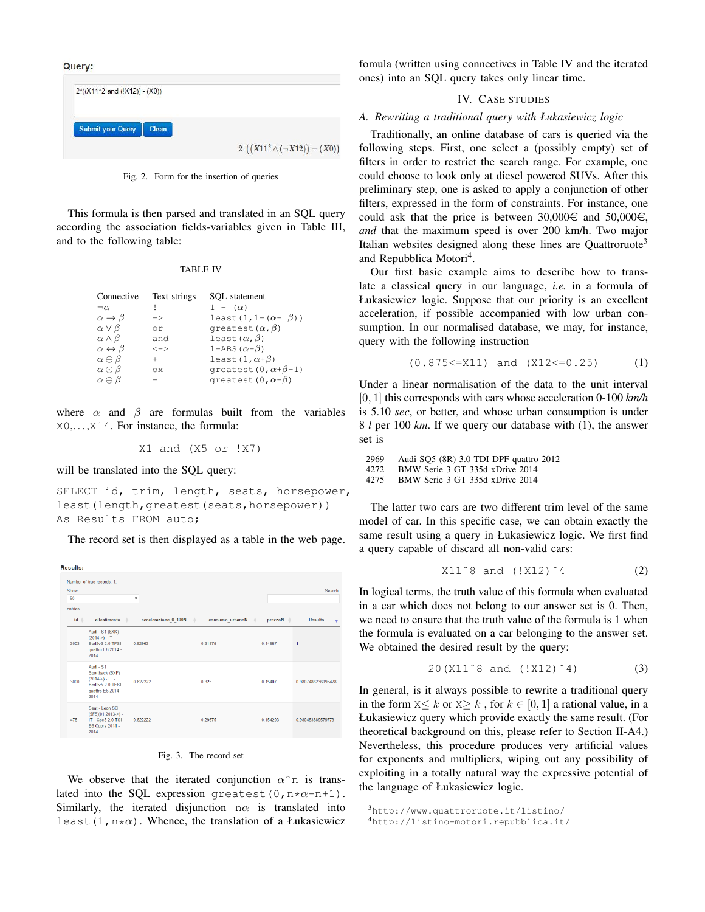Query:



Fig. 2. Form for the insertion of queries

This formula is then parsed and translated in an SQL query according the association fields-variables given in Table III, and to the following table:

| Connective                     | Text strings                  | SOL statement                  |
|--------------------------------|-------------------------------|--------------------------------|
| $\neg \alpha$                  |                               | $1 - (\alpha)$                 |
| $\alpha \rightarrow \beta$     | $\rightarrow$                 | least $(1, 1-(\alpha-\beta))$  |
| $\alpha \vee \beta$            | or                            | qreatest $(\alpha, \beta)$     |
| $\alpha \wedge \beta$          | and                           | least $(\alpha, \beta)$        |
| $\alpha \leftrightarrow \beta$ | $\left\langle -\right\rangle$ | 1–ABS $(\alpha-\beta)$         |
| $\alpha \oplus \beta$          |                               | least $(1, \alpha+\beta)$      |
| $\alpha \odot \beta$           | ΩX                            | qreatest $(0, \alpha+\beta-1)$ |
| $\alpha \ominus \beta$         |                               | qreatest $(0, \alpha-\beta)$   |
|                                |                               |                                |

where  $\alpha$  and  $\beta$  are formulas built from the variables X0,. . . ,X14. For instance, the formula:

X1 and (X5 or !X7)

will be translated into the SQL query:

SELECT id, trim, length, seats, horsepower, least(length, greatest(seats, horsepower)) As Results FROM auto;

The record set is then displayed as a table in the web page.

| <b>Results:</b>                      |                                                                                                   |                      |                                |                                     |                                |
|--------------------------------------|---------------------------------------------------------------------------------------------------|----------------------|--------------------------------|-------------------------------------|--------------------------------|
| Show<br>50<br>entries<br>$id \oplus$ | Number of true records: 1.<br>allestimento<br>$\triangle$                                         | accelerazione 0 100N | consumo urbanoN<br>$\triangle$ | prezzoN $\triangleq$<br>$\triangle$ | Search:<br><b>Results</b><br>٠ |
| 3003                                 | Audi - S1 (8XK)<br>$(2014-) - IT -$<br>Berl2v3 2.0 TFSI<br>quattro E6 2014 -<br>2014              | 0.82963              | 0.31875                        | 0.14957                             | 1                              |
| 3000                                 | Audi - S1<br>Sportback (8XF)<br>$(2014-) - IT -$<br>Berl2v5 2.0 TESL<br>quattro E6 2014 -<br>2014 | 0.822222             | 0.325                          | 0 15407                             | 0.9807486236095428             |
| 478                                  | Seat - Leon SC<br>$(5F5)(01.2013-) -$<br>IT - Cpe3 2.0 TSI<br>E6 Cupra 2014 -<br>2014             | 0.822222             | 0.29375                        | 0.154203                            | 0.980483889579773              |

| Fig. 3. |  |  | The record set |  |
|---------|--|--|----------------|--|
|---------|--|--|----------------|--|

We observe that the iterated conjunction  $\alpha$ <sup>n</sup> is translated into the SOL expression greatest(0,n\* $\alpha$ -n+1). Similarly, the iterated disjunction  $n\alpha$  is translated into least  $(1, n*\alpha)$ . Whence, the translation of a Łukasiewicz fomula (written using connectives in Table IV and the iterated ones) into an SQL query takes only linear time.

#### IV. CASE STUDIES

#### *A. Rewriting a traditional query with Łukasiewicz logic*

Traditionally, an online database of cars is queried via the following steps. First, one select a (possibly empty) set of filters in order to restrict the search range. For example, one could choose to look only at diesel powered SUVs. After this preliminary step, one is asked to apply a conjunction of other filters, expressed in the form of constraints. For instance, one could ask that the price is between 30,000 $\in$  and 50,000 $\in$ , *and* that the maximum speed is over 200 km/h. Two major Italian websites designed along these lines are Quattroruote<sup>3</sup> and Repubblica Motori<sup>4</sup>.

Our first basic example aims to describe how to translate a classical query in our language, *i.e.* in a formula of Łukasiewicz logic. Suppose that our priority is an excellent acceleration, if possible accompanied with low urban consumption. In our normalised database, we may, for instance, query with the following instruction

$$
(0.875 \leq X11) \quad \text{and} \quad (X12 \leq 0.25) \tag{1}
$$

Under a linear normalisation of the data to the unit interval [0, 1] this corresponds with cars whose acceleration 0-100 *km/h* is 5.10 *sec*, or better, and whose urban consumption is under 8 *l* per 100 *km*. If we query our database with (1), the answer set is

```
2969 Audi SQ5 (8R) 3.0 TDI DPF quattro 2012
4272 BMW Serie 3 GT 335d xDrive 2014
       4275 BMW Serie 3 GT 335d xDrive 2014
```
The latter two cars are two different trim level of the same model of car. In this specific case, we can obtain exactly the same result using a query in Łukasiewicz logic. We first find a query capable of discard all non-valid cars:

$$
X11^8
$$
 and  $(!X12)^4$  (2)

In logical terms, the truth value of this formula when evaluated in a car which does not belong to our answer set is 0. Then, we need to ensure that the truth value of the formula is 1 when the formula is evaluated on a car belonging to the answer set. We obtained the desired result by the query:

$$
20(X11^8 \text{ and } (!X12)^4)
$$
 (3)

In general, is it always possible to rewrite a traditional query in the form  $X \leq k$  or  $X \geq k$ , for  $k \in [0, 1]$  a rational value, in a Łukasiewicz query which provide exactly the same result. (For theoretical background on this, please refer to Section II-A4.) Nevertheless, this procedure produces very artificial values for exponents and multipliers, wiping out any possibility of exploiting in a totally natural way the expressive potential of the language of Łukasiewicz logic.

```
3http://www.quattroruote.it/listino/
4http://listino-motori.repubblica.it/
```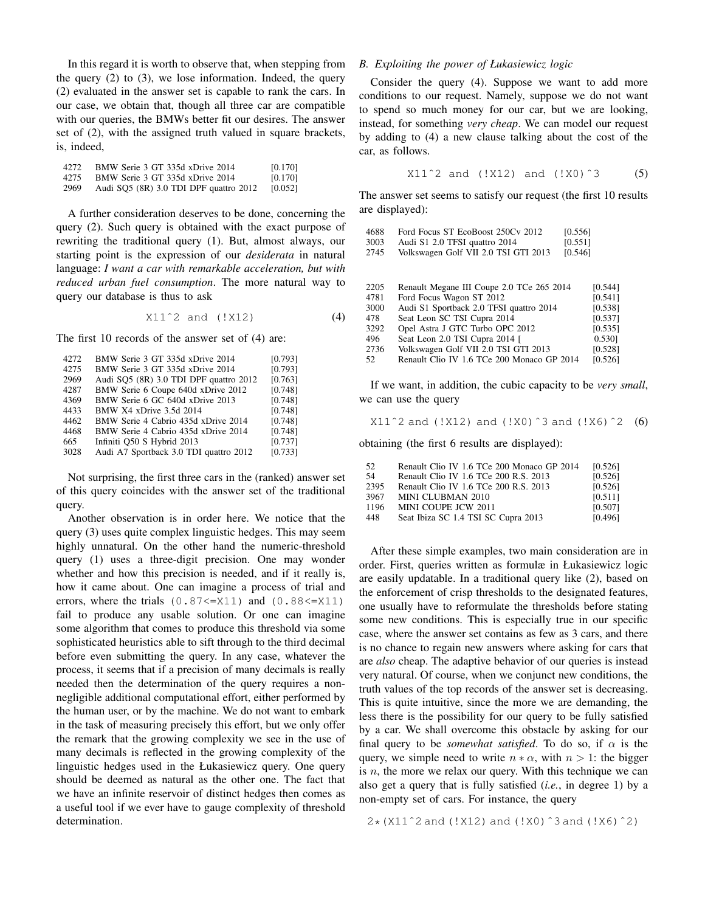In this regard it is worth to observe that, when stepping from the query (2) to (3), we lose information. Indeed, the query (2) evaluated in the answer set is capable to rank the cars. In our case, we obtain that, though all three car are compatible with our queries, the BMWs better fit our desires. The answer set of (2), with the assigned truth valued in square brackets, is, indeed,

| 4272. | BMW Serie 3 GT 335d xDrive 2014        | [0.170] |
|-------|----------------------------------------|---------|
| 4275  | BMW Serie 3 GT 335d xDrive 2014        | [0.170] |
| 2969  | Audi SQ5 (8R) 3.0 TDI DPF quattro 2012 | [0.052] |

A further consideration deserves to be done, concerning the query (2). Such query is obtained with the exact purpose of rewriting the traditional query (1). But, almost always, our starting point is the expression of our *desiderata* in natural language: *I want a car with remarkable acceleration, but with reduced urban fuel consumption*. The more natural way to query our database is thus to ask

 $X11^2$  and  $(X12)$  (4)

The first 10 records of the answer set of (4) are:

| 4272 | BMW Serie 3 GT 335d xDrive 2014        | [0.793] |
|------|----------------------------------------|---------|
| 4275 | BMW Serie 3 GT 335d xDrive 2014        | [0.793] |
| 2969 | Audi SQ5 (8R) 3.0 TDI DPF quattro 2012 | [0.763] |
| 4287 | BMW Serie 6 Coupe 640d xDrive 2012     | [0.748] |
| 4369 | BMW Serie 6 GC 640d xDrive 2013        | [0.748] |
| 4433 | BMW X4 xDrive 3.5d 2014                | [0.748] |
| 4462 | BMW Serie 4 Cabrio 435d xDrive 2014    | [0.748] |
| 4468 | BMW Serie 4 Cabrio 435d xDrive 2014    | [0.748] |
| 665  | Infiniti Q50 S Hybrid 2013             | [0.737] |
| 3028 | Audi A7 Sportback 3.0 TDI quattro 2012 | [0.733] |
|      |                                        |         |

Not surprising, the first three cars in the (ranked) answer set of this query coincides with the answer set of the traditional query.

Another observation is in order here. We notice that the query (3) uses quite complex linguistic hedges. This may seem highly unnatural. On the other hand the numeric-threshold query (1) uses a three-digit precision. One may wonder whether and how this precision is needed, and if it really is, how it came about. One can imagine a process of trial and errors, where the trials  $(0.87 \leq X11)$  and  $(0.88 \leq X11)$ fail to produce any usable solution. Or one can imagine some algorithm that comes to produce this threshold via some sophisticated heuristics able to sift through to the third decimal before even submitting the query. In any case, whatever the process, it seems that if a precision of many decimals is really needed then the determination of the query requires a nonnegligible additional computational effort, either performed by the human user, or by the machine. We do not want to embark in the task of measuring precisely this effort, but we only offer the remark that the growing complexity we see in the use of many decimals is reflected in the growing complexity of the linguistic hedges used in the Łukasiewicz query. One query should be deemed as natural as the other one. The fact that we have an infinite reservoir of distinct hedges then comes as a useful tool if we ever have to gauge complexity of threshold determination.

## *B. Exploiting the power of Łukasiewicz logic*

Consider the query (4). Suppose we want to add more conditions to our request. Namely, suppose we do not want to spend so much money for our car, but we are looking, instead, for something *very cheap*. We can model our request by adding to (4) a new clause talking about the cost of the car, as follows.

$$
X11^2
$$
 and (!X12) and (!X0)<sup>3</sup> (5)

The answer set seems to satisfy our request (the first 10 results are displayed):

| 4688 | Ford Focus ST EcoBoost 250Cv 2012          | [0.556] |         |
|------|--------------------------------------------|---------|---------|
| 3003 | Audi S1 2.0 TFSI quattro 2014              | [0.551] |         |
| 2745 | Volkswagen Golf VII 2.0 TSI GTI 2013       | [0.546] |         |
|      |                                            |         |         |
|      |                                            |         |         |
| 2205 | Renault Megane III Coupe 2.0 TCe 265 2014  |         | [0.544] |
| 4781 | Ford Focus Wagon ST 2012                   |         | [0.541] |
| 3000 | Audi S1 Sportback 2.0 TFSI quattro 2014    |         | [0.538] |
| 478  | Seat Leon SC TSI Cupra 2014                |         | [0.537] |
| 3292 | Opel Astra J GTC Turbo OPC 2012            |         | [0.535] |
| 496  | Seat Leon 2.0 TSI Cupra 2014 [             |         | 0.530]  |
| 2736 | Volkswagen Golf VII 2.0 TSI GTI 2013       |         | [0.528] |
| 52.  | Renault Clio IV 1.6 TCe 200 Monaco GP 2014 |         | [0.526] |
|      |                                            |         |         |

If we want, in addition, the cubic capacity to be *very small*, we can use the query

X11ˆ2 and (!X12) and (!X0)ˆ3 and (!X6)ˆ2 (6)

obtaining (the first 6 results are displayed):

| 52   | Renault Clio IV 1.6 TCe 200 Monaco GP 2014 | [0.526] |
|------|--------------------------------------------|---------|
| 54   | Renault Clio IV 1.6 TCe 200 R.S. 2013      | [0.526] |
| 2395 | Renault Clio IV 1.6 TCe 200 R.S. 2013      | [0.526] |
| 3967 | MINI CLUBMAN 2010                          | [0.511] |
| 1196 | MINI COUPE JCW 2011                        | [0.507] |
| 448  | Seat Ibiza SC 1.4 TSI SC Cupra 2013        | [0.496] |

After these simple examples, two main consideration are in order. First, queries written as formulæ in Łukasiewicz logic are easily updatable. In a traditional query like (2), based on the enforcement of crisp thresholds to the designated features, one usually have to reformulate the thresholds before stating some new conditions. This is especially true in our specific case, where the answer set contains as few as 3 cars, and there is no chance to regain new answers where asking for cars that are *also* cheap. The adaptive behavior of our queries is instead very natural. Of course, when we conjunct new conditions, the truth values of the top records of the answer set is decreasing. This is quite intuitive, since the more we are demanding, the less there is the possibility for our query to be fully satisfied by a car. We shall overcome this obstacle by asking for our final query to be *somewhat satisfied*. To do so, if  $\alpha$  is the query, we simple need to write  $n * \alpha$ , with  $n > 1$ : the bigger is  $n$ , the more we relax our query. With this technique we can also get a query that is fully satisfied (*i.e.*, in degree 1) by a non-empty set of cars. For instance, the query

2\*(X11ˆ2 and (!X12) and (!X0)ˆ3 and (!X6)ˆ2)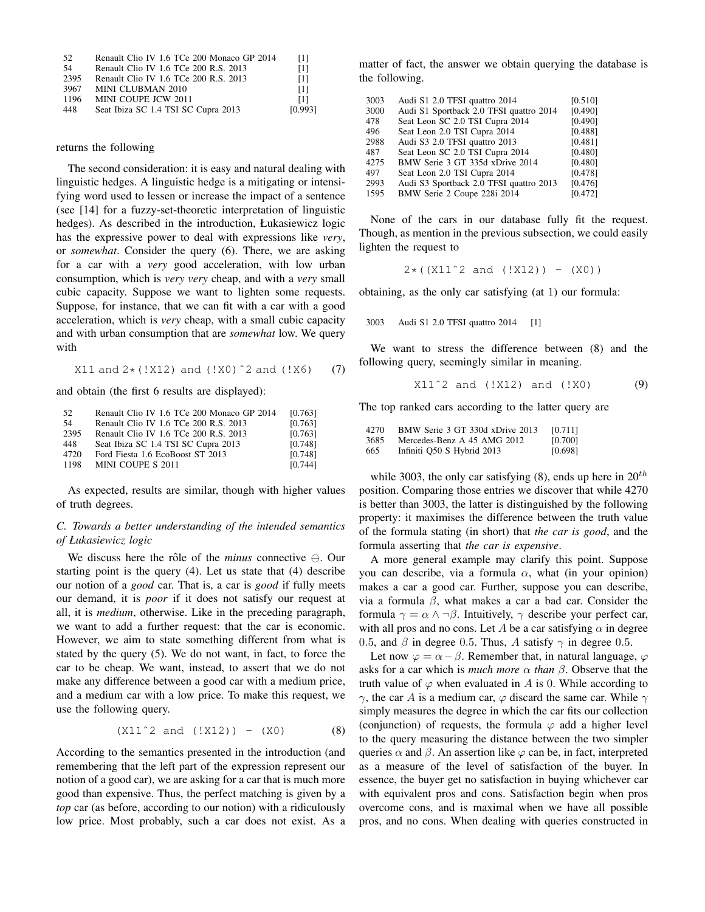| .52  | Renault Clio IV 1.6 TCe 200 Monaco GP 2014 | - 11    |
|------|--------------------------------------------|---------|
| .54  | Renault Clio IV 1.6 TCe 200 R.S. 2013      | [1]     |
| 2395 | Renault Clio IV 1.6 TCe 200 R.S. 2013      | [1]     |
| 3967 | MINI CLUBMAN 2010                          | [1]     |
| 1196 | MINI COUPE JCW 2011                        | T11     |
| 448  | Seat Ibiza SC 1.4 TSI SC Cupra 2013        | [0.993] |

#### returns the following

The second consideration: it is easy and natural dealing with linguistic hedges. A linguistic hedge is a mitigating or intensifying word used to lessen or increase the impact of a sentence (see [14] for a fuzzy-set-theoretic interpretation of linguistic hedges). As described in the introduction, Łukasiewicz logic has the expressive power to deal with expressions like *very*, or *somewhat*. Consider the query (6). There, we are asking for a car with a *very* good acceleration, with low urban consumption, which is *very very* cheap, and with a *very* small cubic capacity. Suppose we want to lighten some requests. Suppose, for instance, that we can fit with a car with a good acceleration, which is *very* cheap, with a small cubic capacity and with urban consumption that are *somewhat* low. We query with

X11 and 
$$
2 \star (!X12)
$$
 and  $(!X0)^2$  and  $(!X6)$  (7)

and obtain (the first 6 results are displayed):

| 52   | Renault Clio IV 1.6 TCe 200 Monaco GP 2014 | [0.763] |
|------|--------------------------------------------|---------|
| -54  | Renault Clio IV 1.6 TCe 200 R.S. 2013      | [0.763] |
| 2395 | Renault Clio IV 1.6 TCe 200 R.S. 2013      | [0.763] |
| 448  | Seat Ibiza SC 1.4 TSI SC Cupra 2013        | [0.748] |
| 4720 | Ford Fiesta 1.6 EcoBoost ST 2013           | [0.748] |
| 1198 | MINI COUPE S 2011                          | [0.744] |

As expected, results are similar, though with higher values of truth degrees.

# *C. Towards a better understanding of the intended semantics of Łukasiewicz logic*

We discuss here the rôle of the *minus* connective  $\ominus$ . Our starting point is the query (4). Let us state that (4) describe our notion of a *good* car. That is, a car is *good* if fully meets our demand, it is *poor* if it does not satisfy our request at all, it is *medium*, otherwise. Like in the preceding paragraph, we want to add a further request: that the car is economic. However, we aim to state something different from what is stated by the query (5). We do not want, in fact, to force the car to be cheap. We want, instead, to assert that we do not make any difference between a good car with a medium price, and a medium car with a low price. To make this request, we use the following query.

$$
(X11^2 and (!X12)) - (X0)
$$
 (8)

According to the semantics presented in the introduction (and remembering that the left part of the expression represent our notion of a good car), we are asking for a car that is much more good than expensive. Thus, the perfect matching is given by a *top* car (as before, according to our notion) with a ridiculously low price. Most probably, such a car does not exist. As a matter of fact, the answer we obtain querying the database is the following.

| 3003 | Audi S1 2.0 TFSI quattro 2014           | [0.510] |
|------|-----------------------------------------|---------|
| 3000 | Audi S1 Sportback 2.0 TFSI quattro 2014 | [0.490] |
| 478  | Seat Leon SC 2.0 TSI Cupra 2014         | [0.490] |
| 496  | Seat Leon 2.0 TSI Cupra 2014            | [0.488] |
| 2988 | Audi S3 2.0 TFSI quattro 2013           | [0.481] |
| 487  | Seat Leon SC 2.0 TSI Cupra 2014         | [0.480] |
| 4275 | BMW Serie 3 GT 335d xDrive 2014         | [0.480] |
| 497  | Seat Leon 2.0 TSI Cupra 2014            | [0.478] |
| 2993 | Audi S3 Sportback 2.0 TFSI quattro 2013 | [0.476] |
| 1595 | BMW Serie 2 Coupe 228i 2014             | [0.472] |
|      |                                         |         |

None of the cars in our database fully fit the request. Though, as mention in the previous subsection, we could easily lighten the request to

 $2 \star ( (X11^2 2 \text{ and } (!X12)) - (X0))$ 

obtaining, as the only car satisfying (at 1) our formula:

3003 Audi S1 2.0 TFSI quattro 2014 [1]

We want to stress the difference between (8) and the following query, seemingly similar in meaning.

$$
X11^2
$$
 and (!X12) and (!X0) (9)

The top ranked cars according to the latter query are

| 4270 | BMW Serie 3 GT 330d xDrive 2013 | [0.711] |
|------|---------------------------------|---------|
| 3685 | Mercedes-Benz A 45 AMG 2012     | [0.700] |
| 665  | Infiniti Q50 S Hybrid 2013      | [0.698] |

while 3003, the only car satisfying (8), ends up here in  $20^{th}$ position. Comparing those entries we discover that while 4270 is better than 3003, the latter is distinguished by the following property: it maximises the difference between the truth value of the formula stating (in short) that *the car is good*, and the formula asserting that *the car is expensive*.

A more general example may clarify this point. Suppose you can describe, via a formula  $\alpha$ , what (in your opinion) makes a car a good car. Further, suppose you can describe, via a formula β, what makes a car a bad car. Consider the formula  $\gamma = \alpha \wedge \neg \beta$ . Intuitively,  $\gamma$  describe your perfect car, with all pros and no cons. Let A be a car satisfying  $\alpha$  in degree 0.5, and  $\beta$  in degree 0.5. Thus, A satisfy  $\gamma$  in degree 0.5.

Let now  $\varphi = \alpha - \beta$ . Remember that, in natural language,  $\varphi$ asks for a car which is *much more* α *than* β. Observe that the truth value of  $\varphi$  when evaluated in A is 0. While according to  $γ$ , the car A is a medium car,  $φ$  discard the same car. While  $γ$ simply measures the degree in which the car fits our collection (conjunction) of requests, the formula  $\varphi$  add a higher level to the query measuring the distance between the two simpler queries  $\alpha$  and  $\beta$ . An assertion like  $\varphi$  can be, in fact, interpreted as a measure of the level of satisfaction of the buyer. In essence, the buyer get no satisfaction in buying whichever car with equivalent pros and cons. Satisfaction begin when pros overcome cons, and is maximal when we have all possible pros, and no cons. When dealing with queries constructed in